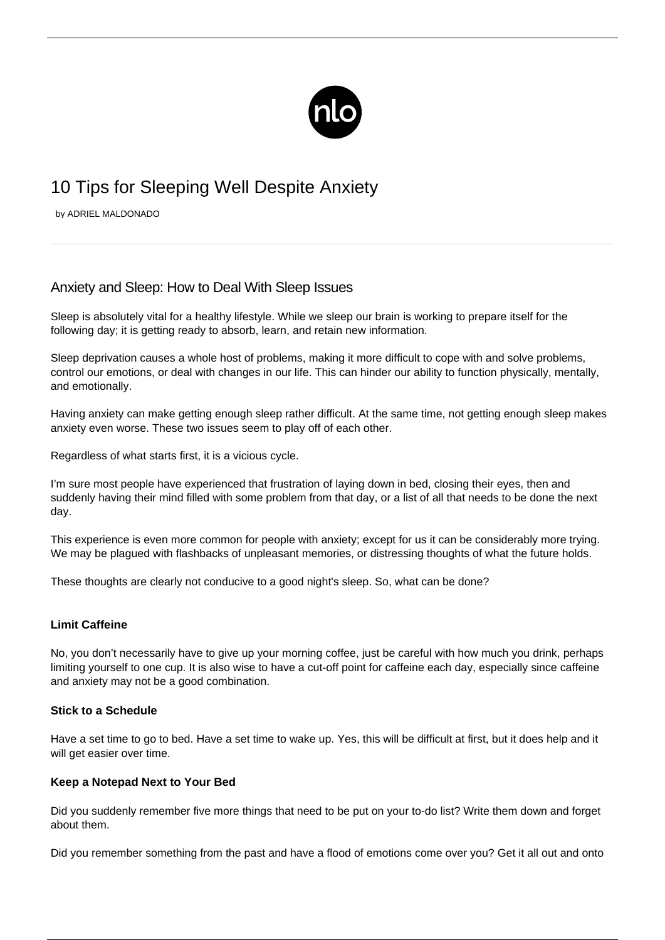

# 10 Tips for Sleeping Well Despite Anxiety

by ADRIEL MALDONADO

# Anxiety and Sleep: How to Deal With Sleep Issues

Sleep is absolutely vital for a healthy lifestyle. While we sleep our brain is working to prepare itself for the following day; it is getting ready to absorb, learn, and retain new information.

Sleep deprivation causes a whole host of problems, making it more difficult to cope with and solve problems, control our emotions, or deal with changes in our life. This can hinder our ability to function physically, mentally, and emotionally.

Having anxiety can make getting enough sleep rather difficult. At the same time, not getting enough sleep makes anxiety even worse. These two issues seem to play off of each other.

Regardless of what starts first, it is a vicious cycle.

I'm sure most people have experienced that frustration of laying down in bed, closing their eyes, then and suddenly having their mind filled with some problem from that day, or a list of all that needs to be done the next day.

This experience is even more common for people with anxiety; except for us it can be considerably more trying. We may be plagued with flashbacks of unpleasant memories, or distressing thoughts of what the future holds.

These thoughts are clearly not conducive to a good night's sleep. So, what can be done?

# **Limit Caffeine**

No, you don't necessarily have to give up your morning coffee, just be careful with how much you drink, perhaps limiting yourself to one cup. It is also wise to have a cut-off point for caffeine each day, especially since [caffeine](/caffeine-and-anxiety/) [and anxiety](/caffeine-and-anxiety/) may not be a good combination.

# **Stick to a Schedule**

Have a set time to go to bed. Have a set time to wake up. Yes, this will be difficult at first, but it does help and it will get easier over time.

# **Keep a Notepad Next to Your Bed**

Did you suddenly remember five more things that need to be put on your to-do list? Write them down and forget about them.

Did you remember something from the past and have a flood of emotions come over you? Get it all out and onto